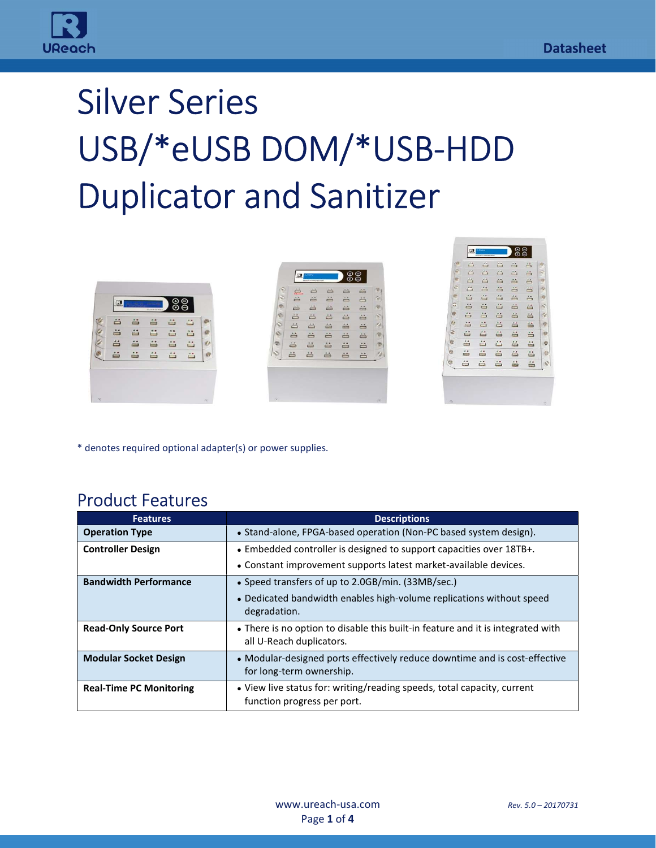

# Silver Series USB/\*eUSB DOM/\*USB-HDD Duplicator and Sanitizer

| ⊙<br>œ<br>Li disconti<br>$\sim$<br>$-24$<br>A<br>ö<br>ä<br>$\mathbf \Omega$<br>$\equiv$<br>$\equiv$<br>$\equiv$<br><b>BAVEN DEMAN</b><br>蚂<br>õ<br>ö<br>ä<br>ö<br>$\ddot{=}$                                                                                                                                      |   |
|-------------------------------------------------------------------------------------------------------------------------------------------------------------------------------------------------------------------------------------------------------------------------------------------------------------------|---|
|                                                                                                                                                                                                                                                                                                                   |   |
| $^{\circ}$<br>å<br>A<br><b>IS</b><br>$\equiv$                                                                                                                                                                                                                                                                     | × |
| --<br>ä<br>ä<br>$\cdots$<br>ä<br>in in the set of the set of the set of the set of the set of the set of the set of the set of the set of the set of the set of the set of the set of the set of the set of the set of the set of the set of the set of the set<br>W<br>$\equiv$<br>$\bullet\bullet$<br>$\bullet$ |   |
| 9.9<br>$\sim$<br>e<br>$\equiv$<br>$+1$<br>õ<br>$\equiv$<br>$\Box$<br>▭<br>$\hat{=}$<br>ö<br>$\ddot{=}$<br>$\equiv$                                                                                                                                                                                                |   |
| õ<br>$\bullet\bullet$<br>$\mathcal O$<br>$\bullet\bullet$<br>0.9<br>e<br>ö<br>ö<br>$\ddot{=}$<br>ö<br>ä<br>$\Box$<br>$\Box$<br>$\equiv$                                                                                                                                                                           |   |
| õ<br>õ<br>$\bullet$<br>ä<br>A<br>$\qquad \qquad \bullet$<br>0.4<br>≟<br>ø<br>ä<br>$\equiv$<br><b>Contract</b><br>$\equiv$                                                                                                                                                                                         |   |

| r di    |    | 凸                | A | Ã                | Ä                  |            |
|---------|----|------------------|---|------------------|--------------------|------------|
|         | £5 | 昌                | ê | ä                | 苎                  |            |
|         | 菖  | 昌                | 4 | ã                | ä                  |            |
| ø       | 菖  | 昌                | 高 | ä                | ä                  |            |
|         | ä  | 菖                | 苔 | 苔                | $\ddot{ }$         |            |
| 뜫       | 苎  | ≐                | 菖 | ä                | ő                  | 20         |
|         | 益  | ≟                | 4 | ä                | ä                  |            |
|         | A  | 当                | A | $\tilde{=}$      | $\stackrel{**}{=}$ | 邊          |
| G       | õ  | ≝                | õ | $\stackrel{}{=}$ | ö                  | 10         |
| Ġ.      | ó  | A                | õ | ä                | ä                  | $\bullet$  |
| $\circ$ | õ  | $\stackrel{}{=}$ | ä | $\frac{1}{2}$    | $\stackrel{}{=}$   | $\epsilon$ |
| Ğ.      | ÷  | ÷                | ÷ | ÷                | ÷.                 |            |
|         |    |                  |   |                  |                    |            |

\* denotes required optional adapter(s) or power supplies.

#### Product Features

i<br>T

| <b>Features</b>                | <b>Descriptions</b>                                                                                         |
|--------------------------------|-------------------------------------------------------------------------------------------------------------|
| <b>Operation Type</b>          | • Stand-alone, FPGA-based operation (Non-PC based system design).                                           |
| <b>Controller Design</b>       | • Embedded controller is designed to support capacities over 18TB+.                                         |
|                                | • Constant improvement supports latest market-available devices.                                            |
| <b>Bandwidth Performance</b>   | • Speed transfers of up to 2.0GB/min. (33MB/sec.)                                                           |
|                                | • Dedicated bandwidth enables high-volume replications without speed<br>degradation.                        |
| <b>Read-Only Source Port</b>   | • There is no option to disable this built-in feature and it is integrated with<br>all U-Reach duplicators. |
| <b>Modular Socket Design</b>   | • Modular-designed ports effectively reduce downtime and is cost-effective<br>for long-term ownership.      |
| <b>Real-Time PC Monitoring</b> | • View live status for: writing/reading speeds, total capacity, current<br>function progress per port.      |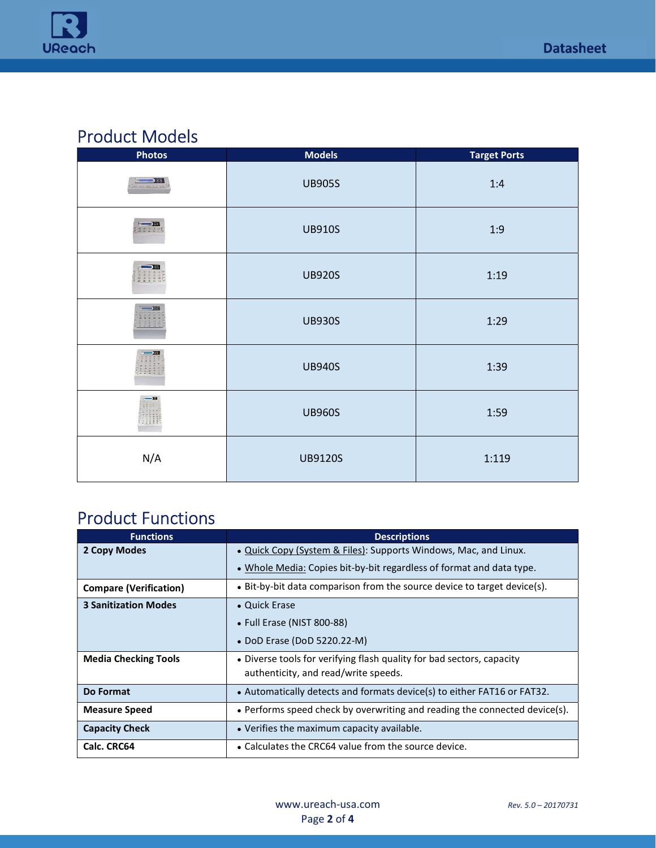

#### Product Models

| <b>Photos</b>                             | <b>Models</b>  | <b>Target Ports</b> |
|-------------------------------------------|----------------|---------------------|
| <b>MEDITE 381</b><br>THE TOT THE R.P. TOP | <b>UB905S</b>  | 1:4                 |
| 22220                                     | <b>UB910S</b>  | 1:9                 |
|                                           | <b>UB920S</b>  | 1:19                |
|                                           | <b>UB930S</b>  | 1:29                |
| $\frac{1}{2}$                             | <b>UB940S</b>  | 1:39                |
| 22253                                     | <b>UB960S</b>  | 1:59                |
| N/A                                       | <b>UB9120S</b> | 1:119               |

## Product Functions

i<br>T

| <b>Functions</b>              | <b>Descriptions</b>                                                        |
|-------------------------------|----------------------------------------------------------------------------|
| 2 Copy Modes                  | . Quick Copy (System & Files): Supports Windows, Mac, and Linux.           |
|                               | • Whole Media: Copies bit-by-bit regardless of format and data type.       |
| <b>Compare (Verification)</b> | • Bit-by-bit data comparison from the source device to target device(s).   |
| <b>3 Sanitization Modes</b>   | • Quick Erase                                                              |
|                               | • Full Erase (NIST 800-88)                                                 |
|                               | • DoD Erase (DoD 5220.22-M)                                                |
| <b>Media Checking Tools</b>   | • Diverse tools for verifying flash quality for bad sectors, capacity      |
|                               | authenticity, and read/write speeds.                                       |
| Do Format                     | • Automatically detects and formats device(s) to either FAT16 or FAT32.    |
| <b>Measure Speed</b>          | • Performs speed check by overwriting and reading the connected device(s). |
| <b>Capacity Check</b>         | • Verifies the maximum capacity available.                                 |
| Calc. CRC64                   | • Calculates the CRC64 value from the source device.                       |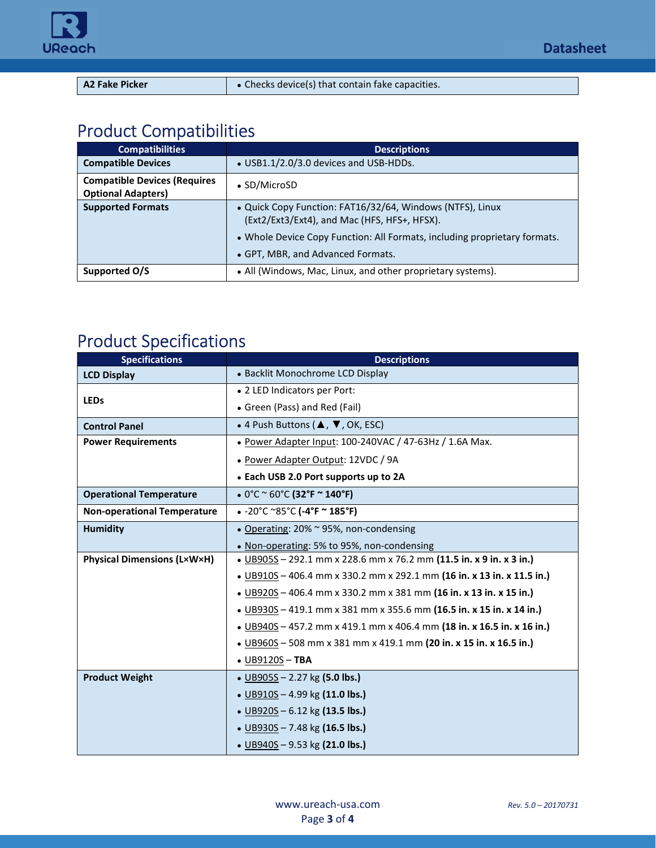

i<br>T

| <b>A2 Fake Picker</b> | • Checks device(s) that contain fake capacities. |
|-----------------------|--------------------------------------------------|

## Product Compatibilities

| <b>Compatibilities</b>                                           | <b>Descriptions</b>                                                                                                                                                                                                         |
|------------------------------------------------------------------|-----------------------------------------------------------------------------------------------------------------------------------------------------------------------------------------------------------------------------|
| <b>Compatible Devices</b>                                        | $\bullet$ USB1.1/2.0/3.0 devices and USB-HDDs.                                                                                                                                                                              |
| <b>Compatible Devices (Requires</b><br><b>Optional Adapters)</b> | • SD/MicroSD                                                                                                                                                                                                                |
| <b>Supported Formats</b>                                         | . Quick Copy Function: FAT16/32/64, Windows (NTFS), Linux<br>(Ext2/Ext3/Ext4), and Mac (HFS, HFS+, HFSX).<br>• Whole Device Copy Function: All Formats, including proprietary formats.<br>• GPT, MBR, and Advanced Formats. |
| Supported O/S                                                    | • All (Windows, Mac, Linux, and other proprietary systems).                                                                                                                                                                 |

## Product Specifications

| <b>Specifications</b>              | <b>Descriptions</b>                                                    |
|------------------------------------|------------------------------------------------------------------------|
| <b>LCD Display</b>                 | • Backlit Monochrome LCD Display                                       |
|                                    | • 2 LED Indicators per Port:                                           |
| <b>LEDs</b>                        | • Green (Pass) and Red (Fail)                                          |
| <b>Control Panel</b>               | • 4 Push Buttons ( $\blacktriangle$ , $\nabla$ , OK, ESC)              |
| <b>Power Requirements</b>          | • Power Adapter Input: 100-240VAC / 47-63Hz / 1.6A Max.                |
|                                    | • Power Adapter Output: 12VDC / 9A                                     |
|                                    | • Each USB 2.0 Port supports up to 2A                                  |
| <b>Operational Temperature</b>     | • $0^{\circ}$ C ~ 60 $^{\circ}$ C (32 $^{\circ}$ F ~ 140 $^{\circ}$ F) |
| <b>Non-operational Temperature</b> | $\bullet$ -20°C ~85°C (-4°F ~ 185°F)                                   |
| <b>Humidity</b>                    | • Operating: 20% ~ 95%, non-condensing                                 |
|                                    | • Non-operating: 5% to 95%, non-condensing                             |
| <b>Physical Dimensions (LxWxH)</b> | • UB905S - 292.1 mm x 228.6 mm x 76.2 mm (11.5 in. x 9 in. x 3 in.)    |
|                                    | • UB910S - 406.4 mm x 330.2 mm x 292.1 mm (16 in. x 13 in. x 11.5 in.) |
|                                    | • UB920S-406.4 mm x 330.2 mm x 381 mm (16 in. x 13 in. x 15 in.)       |
|                                    | • UB930S - 419.1 mm x 381 mm x 355.6 mm (16.5 in. x 15 in. x 14 in.)   |
|                                    | • UB940S – 457.2 mm x 419.1 mm x 406.4 mm (18 in. x 16.5 in. x 16 in.) |
|                                    | • UB960S - 508 mm x 381 mm x 419.1 mm (20 in. x 15 in. x 16.5 in.)     |
|                                    | $\bullet$ UB9120S - TBA                                                |
| <b>Product Weight</b>              | • UB905S – 2.27 kg (5.0 lbs.)                                          |
|                                    | • UB910S - 4.99 kg (11.0 lbs.)                                         |
|                                    | • UB920S - 6.12 kg (13.5 lbs.)                                         |
|                                    | • UB930S $- 7.48$ kg (16.5 lbs.)                                       |
|                                    | • UB940S - 9.53 kg (21.0 lbs.)                                         |